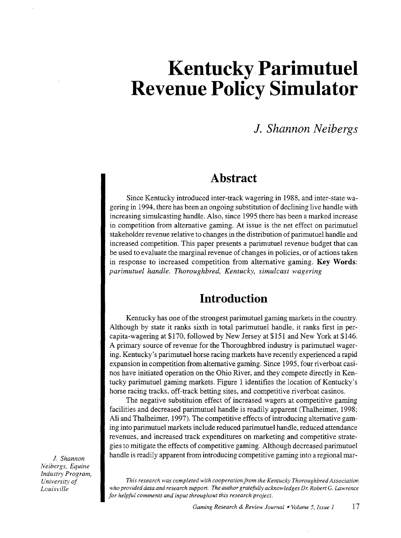# **Kentucky Parimutuel Revenue Policy Simulator**

## **1.** *Shannon Neibergs*

## **Abstract**

Since Kentucky introduced inter-track wagering in 1988, and inter-state wagering in 1994, there has been an ongoing substitution of declining live handle with increasing simulcasting handle. Also, since 1995 there has been a marked increase in competition from alternative gaming. At issue is the net effect on parimutuel stakeholder revenue relative to changes in the distribution of parimutuel handle and increased competition. This paper presents a parimutuel revenue budget that can be used to evaluate the marginal revenue of changes in policies, or of actions taken in response to increased competition from alternative gaming. Key **Words:**  *parimutuel handle. Thoroughbred, Kentucky, simulcast wagering* 

# **Introduction**

Kentucky has one of the strongest parimutuel gaming markets in the country. Although by state it ranks sixth in total parimutuel handle, it ranks first in percapita-wagering at \$170, followed by New Jersey at \$151 and New York at \$146. A primary source of revenue for the Thoroughbred industry is parimutuel wagering. Kentucky's parimutuel horse racing markets have recently experienced a rapid expansion in competition from alternative gaming. Since 1995, four riverboat casinos have initiated operation on the Ohio River, and they compete directly in Kentucky parimutuel gaming markets. Figure 1 identifies the location of Kentucky's horse racing tracks, off-track betting sites, and competitive riverboat casinos.

The negative substituion effect of increased wagers at competitive gaming facilities and decreased parimutuel handle is readily apparent (Thalheimer, 1998; Ali and Thalheimer, 1997). The competitive effects of introducing alternative gaming into parimutuel markets include reduced parimutuel handle, reduced attendance revenues, and increased track expenditures on marketing and competitive strategies to mitigate the effects of competitive gaming. Although decreased parimutuel handle is readily apparent from introducing competitive gaming into a regional mar-

*This research was completed with cooperation from the Kentucky Thoroughbred Association who provided data and research support. The author gratefully acknowledges Dr. Robert* G. *Lawrence for helpful comments and input throughout this research project.* 

J. *Shannon Neibergs, Equine Industry Program, University of Louisville*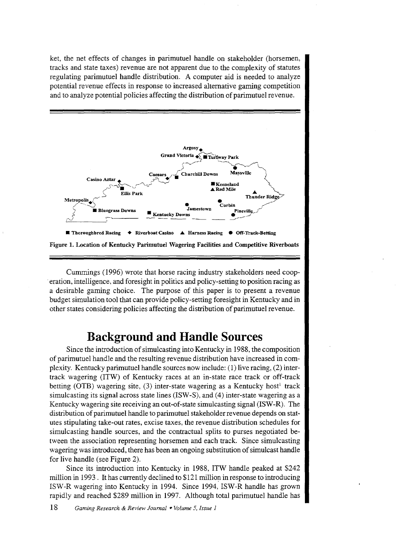ket, the net effects of changes in parimutuel handle on stakeholder (horsemen, tracks and state taxes) revenue are not apparent due to the complexity of statutes regulating parimutuel handle distribution. A computer aid is needed to analyze potential revenue effects in response to increased alternative gaming competition and to analyze potential policies affecting the distribution of parimutuel revenue.



Cummings ( 1996) wrote that horse racing industry stakeholders need cooperation, intelligence, and foresight in politics and policy-setting to position racing as a desirable gaming choice. The purpose of this paper is to present a revenue budget simulation tool that can provide policy-setting foresight in Kentucky and in other states considering policies affecting the distribution of parimutuel revenue.

# **Background and Handle Sources**

Since the introduction of simulcasting into Kentucky in 1988, the composition of parimutuel handle and the resulting revenue distribution have increased in complexity. Kentucky parimutuel handle sources now include: (1) live racing, (2) intertrack wagering (ITW) of Kentucky races at an in-state race track or off-track betting (OTB) wagering site, (3) inter-state wagering as a Kentucky host<sup>1</sup> track simulcasting its signal across state lines (ISW-S), and (4) inter-state wagering as a Kentucky wagering site receiving an out-of-state simulcasting signal (ISW -R). The distribution of parimutuel handle to parimutuel stakeholder revenue depends on statutes stipulating take-out rates, excise taxes, the revenue distribution schedules for simulcasting handle sources, and the contractual splits to purses negotiated between the association representing horsemen and each track. Since simulcasting wagering was introduced, there has been an ongoing substitution of simulcast handle for live handle (see Figure 2).

Since its introduction into Kentucky in 1988, ITW handle peaked at \$242 million in 1993. It has currently declined to \$121 million in response to introducing ISW-R wagering into Kentucky in 1994. Since 1994, ISW-R handle has grown rapidly and reached \$289 million in 1997. Although total parimutuel handle has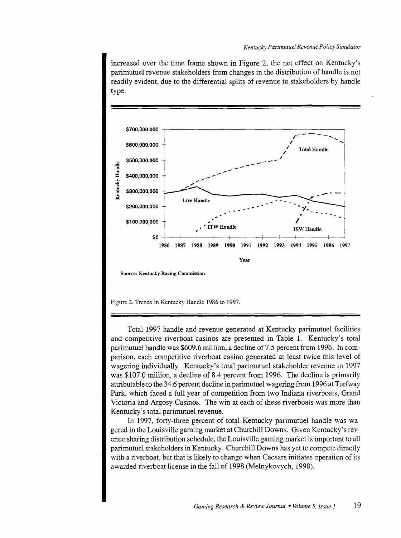increased over the time frame shown in Figure 2, the net effect on Kentucky's parimutuel revenue stakeholders from changes in the distribution of handle is not readily evident, due to the differential splits of revenue to stakeholders by handle type.



Figure 2. Trends In Kentucky Handle 1986 to 1997.

Total 1997 handle and revenue generated at Kentucky parimutuel facilities and competitive riverboat casinos are presented in Table 1. Kentucky's total parimutuel handle was \$609.6 million, a decline of 7.5 percent from 1996. In comparison, each competitive riverboat casino generated at least twice this level of wagering individually. Kentucky's total parimutuel stakeholder revenue in 1997 was \$107.0 million, a decline of 8.4 percent from 1996. The decline is primarily attributable to the 34.6 percent decline in parimutuel wagering from 1996 at Turfway Park, which faced a full year of competition from two Indiana riverboats, Grand Victoria and Argosy Casinos. The win at each of these riverboats was more than Kentucky's total parimutuel revenue.

In 1997, forty-three percent of total Kentucky parimutuel handle was wagered in the Louisville gaming market at Churchill Downs. Given Kentucky's revenue sharing distribution schedule, the Louisville gaming market is important to all parimutuel stakeholders in Kentucky. Churchill Downs has yet to compete directly with a riverboat, but that is likely to change when Caesars initiates operation of its awarded riverboat license in the fall of 1998 (Melnykovych, 1998).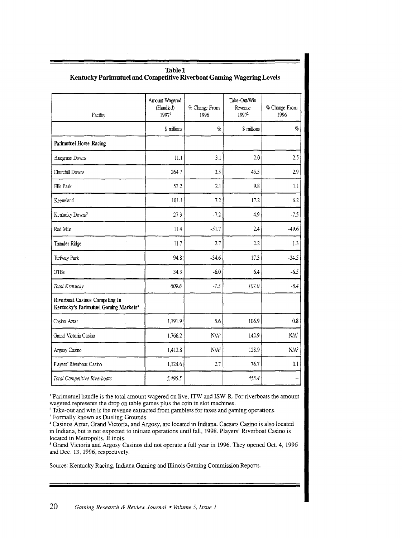| Facility                                                                            | Amount Wagered<br>(Handled)<br>1997 | % Change From<br>1996 | Take-Out/Win<br>Revenue<br>19972 | % Change From<br>1996 |
|-------------------------------------------------------------------------------------|-------------------------------------|-----------------------|----------------------------------|-----------------------|
|                                                                                     | \$ millions                         | $\%$                  | \$ millions                      | $\%$                  |
| Parimutuel Horse Racing                                                             |                                     |                       |                                  |                       |
| <b>Bhegrass Downs</b>                                                               | 11.1                                | 3.1                   | 2.0                              | 2.5                   |
| Churchill Downs                                                                     | 264.7                               | 3.5                   | 45.5                             | 2.9                   |
| Ellis Park                                                                          | 53.2                                | 2.1                   | 9.8                              | 1.1                   |
| Keeneland                                                                           | 101.1                               | 7.2                   | 17.2                             | 6.2                   |
| Kentucky Downs <sup>3</sup>                                                         | 27.3                                | $-7.2$                | 4.9                              | $-7.5$                |
| Red Mile                                                                            | 11.4                                | $-51.7$               | 2.4                              | $-49.6$               |
| Thunder Ridge                                                                       | 11.7                                | 2.7                   | 2.2                              | 1.3                   |
| Turfway Park                                                                        | 94.8                                | $-34.6$               | 17.3                             | $-34.5$               |
| <b>OTBs</b>                                                                         | 34.3                                | $-6.0$                | 6.4                              | $-6.5$                |
| Total Kentucky                                                                      | 609.6                               | $-7.5$                | 107.0                            | $-8.4$                |
| Riverboat Casinos Competing In<br>Kentucky's Parimutuel Gaming Markets <sup>4</sup> |                                     |                       |                                  |                       |
| Casino Aztar                                                                        | 1,191.9                             | 5.6                   | 106.9                            | 0.8                   |
| Grand Victoria Casino                                                               | 1,766.2                             | N/A <sup>5</sup>      | 142.9                            | N/A <sup>5</sup>      |
| Argosy Casino                                                                       | 1,413.8                             | N/A <sup>5</sup>      | 128.9                            | N/A <sup>5</sup>      |
| Players' Riverboat Casino                                                           | 1,124.6                             | 2.7                   | 76.7                             | 0.1                   |
| Total Competitive Riverboats                                                        | 5,496.5                             |                       | 455.4                            | ä.                    |

# **Table!**

<sup>1</sup> Parimutuel handle is the total amount wagered on live, ITW and ISW-R. For riverboats the amount vagered represents the drop on table games plus the coin in slot machines.

<sup>2</sup> Take-out and win is the revenue extracted from gamblers for taxes and gaming operations.

<sup>3</sup> Formally known as Dueling Grounds.

Casinos Aztar, Grand Victoria, and Argosy, are located in Indiana. Caesars Casino is also located n Indiana, but is not expected to initiate operations until fall, 1998. Players' Riverboat Casino is located in Metropolis, Illinois.

<sup>5</sup> Grand Victoria and Argosy Casinos did not operate a full year in 1996. They opened Oct. 4, 1996 and Dec. 13, 1996, respectively.

Source: Kentucky Racing, Indiana Gaming and Illinois Gaming Commission Reports.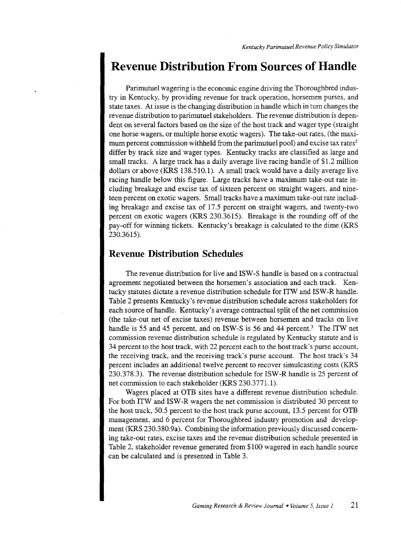## **Revenue Distribution From Sources of Handle**

Parimutuel wagering is the economic engine driving the Thoroughbred industry in Kentucky, by providing revenue for track operation, horsemen purses, and state taxes. At issue is the changing distribution in handle which in tum changes the revenue distribution to parimutuel stakeholders. The revenue distribution is dependent on several factors based on the size of the host track and wager type (straight one horse wagers, or multiple horse exotic wagers). The take-out rates, (the maximum percent commission withheld from the parimutuel pool) and excise tax rates<sup>2</sup> differ by track size and wager types. Kentucky tracks are classified as large and small tracks. A large track has a daily average live racing handle of \$1.2 million dollars or above (KRS 138.510.1). A small track would have a daily average live racing handle below this figure. Large tracks have a maximum take-out rate including breakage and excise tax of sixteen percent on straight wagers, and nineteen percent on exotic wagers. Small tracks have a maximum take-out rate including breakage and excise tax of 17.5 percent on straight wagers, and twenty-two percent on exotic wagers (KRS 230.3615). Breakage is the rounding off of the pay-off for winning tickets. Kentucky's breakage is calculated to the dime (KRS 230.3615).

#### **Revenue Distribution Schedules**

The revenue distribution for live and ISW -S handle is based on a contractual agreement negotiated between the horsemen's association and each track. Kentucky statutes dictate a revenue distribution schedule for ITW and ISW -R handle. Table 2 presents Kentucky's revenue distribution schedule across stakeholders for each source of handle. Kentucky's average contractual split of the net commission (the take-out net of excise taxes) revenue between horsemen and tracks on live handle is 55 and 45 percent, and on ISW-S is 56 and 44 percent.<sup>3</sup> The ITW net commission revenue distribution schedule is regulated by Kentucky statute and is 34 percent to the host track, with 22 percent each to the host track's purse account, the receiving track, and the receiving track's purse account. The host track's 34 percent includes an additional twelve percent to recover simulcasting costs (KRS 230.378.3). The revenue distribution schedule for ISW -R handle is 25 percent of net commission to each stakeholder (KRS 230.3771.1).

Wagers placed at OTB sites have a different revenue distribution schedule. For both ITW and ISW -R wagers the net commission is distributed 30 percent to the host track, 50.5 percent to the host track purse account, 13.5 percent for OTB management, and 6 percent for Thoroughbred industry promotion and development (KRS 230.380.9a). Combining the information previously discussed concerning take-out rates, excise taxes and the revenue distribution schedule presented in Table 2, stakeholder revenue generated from \$100 wagered in each handle source can be calculated and is presented in Table 3.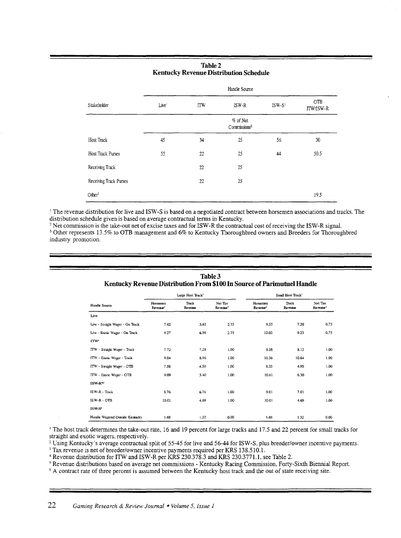#### **Table2 Kentucky Revenue Distribution Schedule**

|                        |                   |            | Handle Source                        |          |                  |
|------------------------|-------------------|------------|--------------------------------------|----------|------------------|
| Stakeholder            | Live <sup>1</sup> | <b>ITW</b> | ISW-R                                | $ISW-S1$ | OTB<br>ITW/ISW-R |
|                        |                   |            | % of Net<br>Commissions <sup>2</sup> |          |                  |
| Host Track             | 45                | 34         | 25                                   | 56       | 30               |
| Host Track Purses      | 55                | 22         | 25                                   | 44       | 50.5             |
| Receiving Track        |                   | 22         | 25                                   |          |                  |
| Receiving Track Purses |                   | 22         | 25                                   |          |                  |
| Other <sup>3</sup>     |                   |            |                                      |          | 19.5             |

<sup>1</sup> The revenue distribution for live and ISW-S is based on a negotiated contract between horsemen associations and tracks. The distribution schedule given is based on average contractual terms in Kentucky.

<sup>2</sup> Net commission is the take-out net of excise taxes and for ISW-R the contractual cost of receiving the ISW-R signal.<br><sup>3</sup> Other represents 13.5% to OTB management and 6% to Kentucky Thoroughbred owners and Breeders for industry promotion.

| Handle Source                    | Large Host Track <sup>1</sup>    |                  |                                 | Small Host Track <sup>1</sup>    |                  |                                 |  |
|----------------------------------|----------------------------------|------------------|---------------------------------|----------------------------------|------------------|---------------------------------|--|
|                                  | Horsemen<br>Revenue <sup>2</sup> | Track<br>Revenue | Net Tax<br>Revenue <sup>3</sup> | Horsemen<br>Revenue <sup>2</sup> | Track<br>Revenue | Net Tax<br>Revenue <sup>3</sup> |  |
| Live                             |                                  |                  |                                 |                                  |                  |                                 |  |
| Live - Straight Wager - On Track | 7.62                             | 5.63             | 2.75                            | 9.55                             | 7.20             | 0.75                            |  |
| Live - Exotic Wager - On Track   | 9.27                             | 6.98             | 2.75                            | 12.02                            | 9.23             | 0.75                            |  |
| <b>ITW*</b>                      |                                  |                  |                                 |                                  |                  |                                 |  |
| ITW - Straight Wager - Track     | 7.72                             | 7.28             | 1.00                            | 8.38                             | 8.12             | 1.00                            |  |
| ITW - Exotic Wager - Track       | 9.04                             | 8.96             | 1.00                            | 10.36                            | 10.64            | 1.00                            |  |
| ITW - Straight Wager - OTB       | 7.58                             | 4.50             | 1.00                            | 8.33                             | 4.95             | 1.00                            |  |
| ITW - Exotic Wager - OTB         | 9.09                             | 5.40             | 1.00                            | 10.61                            | 6.30             | 1.00                            |  |
| $ISW-R^{\prime\prime}$           |                                  |                  |                                 |                                  |                  |                                 |  |
| ISW-R - Track                    | 8.76                             | 6.76             | 1.00                            | 9.01                             | 7.01             | 1.00                            |  |
| ISW-R - OTB                      | 10.01                            | 4.69             | 1.00                            | 10.01                            | 4.69             | 1.00                            |  |
| ISW-S*                           |                                  |                  |                                 |                                  |                  |                                 |  |
| Handle Wagered Outside Kentucky  | 1.68                             | 1.32             | 0.00                            | 1.68                             | 1.32             | 0.00                            |  |

#### **Table3 Kentucky Revenue Distribution From \$100 In Source of Parimutuel Handle**

<sup>1</sup> The host track determines the take-out rate, 16 and 19 percent for large tracks and 17.5 and 22 percent for small tracks for straight and exotic wagers, respectively.

<sup>2</sup> Using Kentucky's average contractual split of 55-45 for live and 56-44 for ISW-S, plus breeder/owner incentive payments.<br><sup>3</sup> Tax revenue is net of breeder/owner incentive payments required per KRS 138.510.1.<br><sup>4</sup> Reven

<sup>6</sup> A contract rate of three percent is assumed between the Kentucky host track and the out of state receiving site.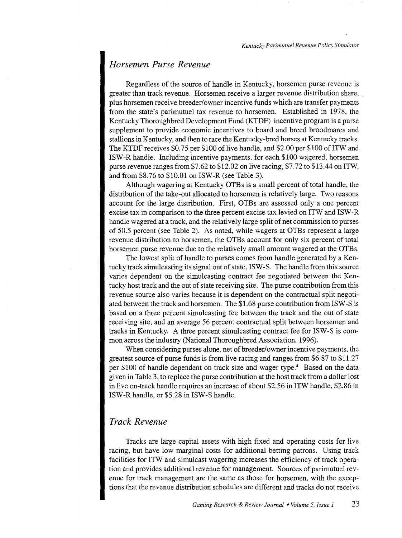#### *Horsemen Purse Revenue*

Regardless of the source of handle in Kentucky, horsemen purse revenue is greater than track revenue. Horsemen receive a larger revenue distribution share, . plus horsemen receive breeder/owner incentive funds which are transfer payments from the state's parimutuel tax revenue to horsemen. Established in 1978, the Kentucky Thoroughbred Development Fund (KTDF) incentive program is a purse supplement to provide economic incentives to board and breed broodmares and stallions in Kentucky, and then to race the Kentucky-bred horses at Kentucky tracks. The KTDF receives \$0.75 per \$100 of live handle, and \$2.00 per \$100 of ITW and ISW-R handle. Including incentive payments, for each \$100 wagered, horsemen purse revenue ranges from\$7.62 to \$12.02 on live racing, \$7.72 to \$13.44 on ITW, and from \$8.76 to \$10.01 on ISW-R (see Table 3).

Although wagering at Kentucky OTBs is a small percent of total handle, the distribution of the take-out allocated to horsemen is relatively large. Two reasons account for the large distribution. First, OTBs are assessed only a one percent excise tax in comparison to the three percent excise tax levied on ITW and ISW-R handle wagered at a track, and the relatively large split of net commission to purses of 50.5 percent (see Table 2). As noted, while wagers at OTBs represent a large revenue distribution to horsemen, the OTBs account for only six percent of total horsemen purse revenue due to the relatively small amount wagered at the OTBs.

The lowest split of handle to purses comes from handle generated by a Kentucky track simulcasting its signal out of state, ISW -S. The handle from this source varies dependent on the simulcasting contract fee negotiated between the Kentucky host track and the out of state receiving site. The purse contribution from this revenue source also varies because it is dependent on the contractual split negotiated between the track and horsemen. The \$1.68 purse contribution from ISW -S is based on a three percent simulcasting fee between the track and the out of state receiving site, and an average 56 percent contractual split between horsemen and tracks in Kentucky. A three percent simulcasting contract fee for ISW -S is common across the industry (National Thoroughbred Association, 1996).

When considering purses alone, net of breeder/owner incentive payments, the greatest source of purse funds is from live racing and ranges from \$6.87 to \$11.27 per \$100 of handle dependent on track size and wager type.4 Based on the data given in Table 3, to replace the purse contribution at the host track from a dollar lost in live on-track handle requires an increase of about \$2.56 in ITW handle, \$2.86 in ISW-R handle, or \$5.28 in ISW-S handle.

#### *Track Revenue*

Tracks are large capital assets with high fixed and operating costs for live racing, but have low marginal costs for additional betting patrons. Using track facilities for ITW and simulcast wagering increases the efficiency of track operation and provides additional revenue for management. Sources of parimutuel revenue for track management are the same as those for horsemen, with the exceptions that the revenue distribution schedules are different and tracks do not receive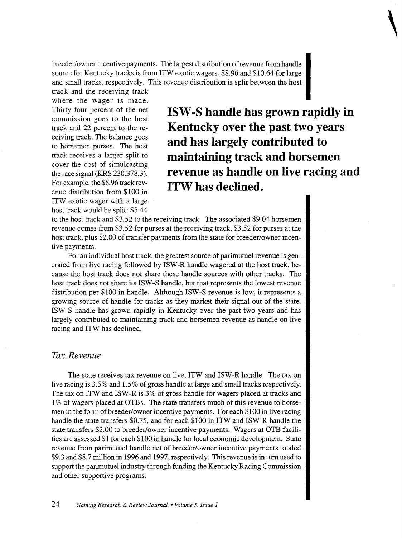breeder/owner incentive payments. The largest distribution of revenue from handle source for Kentucky tracks is from ITW exotic wagers, \$8.96 and \$10.64 for large and small tracks, respectively. This revenue distribution is split between the host

track and the receiving track where the wager is made. Thirty-four percent of the net commission goes to the host track and 22 percent to the receiving track. The balance goes to horsemen purses. The host track receives a larger split to cover the cost of simulcasting the race signal (KRS 230.378.3). For example, the \$8.96 track revenue distribution from \$100 in ITW exotic wager with a large host track would be split: \$5.44

**ISW -S handle has grown rapidly in Kentucky over the past two years and has largely contributed to maintaining track and horsemen revenue as handle on live racing and ITW has declined.** 

**\** 

to the host track and \$3.52 to the receiving track. The associated \$9.04 horsemen revenue comes from \$3.52 for purses at the receiving track, \$3.52 for purses at the host track, plus \$2.00 of transfer payments from the state for breeder/owner incentive payments.

For an individual host track, the greatest source of parimutuel revenue is generated from live racing followed by ISW -R handle wagered at the host track, because the host track does not share these handle sources with other tracks. The host track does not share its ISW -S handle, but that represents the lowest revenue distribution per \$100 in handle. Although ISW -S revenue is low, it represents a growing source of handle for tracks as they market their signal out of the state. ISW -S handle has grown rapidly in Kentucky over the past two years and has largely contributed to maintaining track and horsemen revenue as handle on live racing and ITW has declined.

#### *Tax Revenue*

The state receives tax revenue on live, ITW and ISW-R handle. The tax on live racing is 3.5% and 1.5% of gross handle at large and small tracks respectively. The tax on ITW and ISW-R is 3% of gross handle for wagers placed at tracks and 1% of wagers placed at OTBs. The state transfers much of this revenue to horsemen in the form of breeder/owner incentive payments. For each \$100 in live racing handle the state transfers \$0.75, and for each \$100 in ITW and ISW-R handle the state transfers \$2.00 to breeder/owner incentive payments. Wagers at OTB facilities are assessed \$1 for each \$100 in handle for local economic development. State revenue from parimutuel handle net of breeder/owner incentive payments totaled \$9.3 and \$8.7 million in 1996 and 1997, respectively. This revenue is in turn used to support the parimutuel industry through funding the Kentucky Racing Commission and other supportive programs.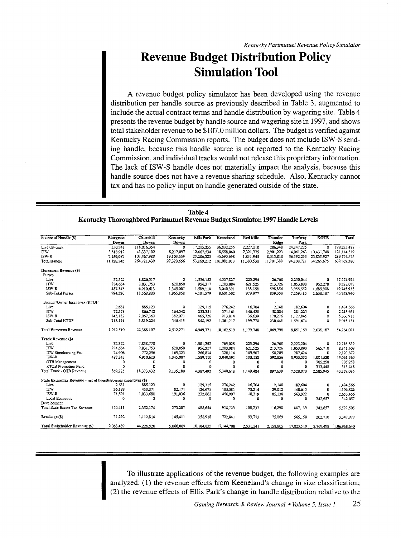# Revenue Budget Distribution Policy Simulation Tool

A revenue budget policy simulator has been developed using the revenue distribution per handle source as previously described in Table 3, augmented to include the actual contract terms and handle distribution by wagering site. Table 4 presents the revenue budget by handle source and wagering site in 1997, and shows total stakeholder revenue to be \$107.0 million dollars. The budget is verified against Kentucky Racing Commission reports. The budget does not include ISW -S sending handle, because this handle source is not reported to the Kentucky Racing Commission, and individual tracks would not release this proprietary information. The lack of ISW -S handle does not materially impact the analysis, because this handle source does not have a revenue sharing schedule. Also, Kentucky cannot tax and has no policy input on handle generated outside of the state.

| <b>Table 4</b>                                                                |
|-------------------------------------------------------------------------------|
| Kentucky Thoroughbred Parimutuel Revenue Budget Simulator, 1997 Handle Levels |

| Source of Handle (\$)                                          | <b>Bluegrass</b><br>Downs | Churchill<br><b>Downs</b> | Kentucky<br><b>Downs</b> | <b>Ellis Park</b> | Keeneland   | <b>Red Mile</b> | <b>Thunder</b><br>Ridge | Turfway<br>Park | <b>KOTB</b> | Total       |
|----------------------------------------------------------------|---------------------------|---------------------------|--------------------------|-------------------|-------------|-----------------|-------------------------|-----------------|-------------|-------------|
| Live On-track                                                  | 350.741                   | 118.016.354               | 0                        | 17.215.355        | 36.832.255  | 2.227.210       | 286.348                 | 24.347.225      | $\Omega$    | 199,275,488 |
| nw                                                             | 3.618.917                 | 43.337.102                | 8.217.097                | 12.667.534        | 18,558,060  | 7,321,375       | 2,901.223               | 14,061,263      | 10.431.748  | 121,114,319 |
| ISW-R                                                          | 7,159,087                 | 103,367,985               | 19,103,559               | 23,286,323        | 45,690,698  | 1.831.945       | 8,513.818               | 56,392,233      | 23,835,927  | 289.179.573 |
| Total Handle                                                   | 11,128,745                | 264,721,439               | 27,320,656               | 53,169.212        | 101,081,013 | 11.380.530      | 11,701,389              | 94,800,721      | 34.265,675  | 609,569,380 |
| Horsemen Revenue (S)                                           |                           |                           |                          |                   |             |                 |                         |                 |             |             |
| Purses                                                         |                           |                           |                          |                   |             |                 |                         |                 |             |             |
| Live                                                           | 32.322                    | 8,826,517                 | 0                        | 1.556.152         | 4.357.827   | 225.294         | 26,768                  | 2,250,044       | o           | 17,274,924  |
| <b>ITW</b>                                                     | 274,654                   | 2,831,753                 | 620.850                  | 956.317           | 1,203,084   | 621.525         | 213.726                 | 1,053,890       | 952.278     | 8,728,077   |
| ISW-R                                                          | 487.343                   | 6,910,613                 | 1,345,007                | 1,589,110         | 3.040.391   | 133,158         | 598,856                 | 3.955,552       | 1.685.908   | 19.745.938  |
| Sub-Total Purses                                               | 794.320                   | 18.568.883                | 1,965,858                | 4.101.579         | 8.601.302   | 979.977         | 839.350                 | 7,259,485       | 2.638.187   | 45,748,940  |
| Breeder/Owner Incentives (KTDF)                                |                           |                           |                          |                   |             |                 |                         |                 |             |             |
| Live                                                           | 2.631                     | 885.123                   | 0                        | 129,115           | 276.242     | 16.704          | 2,148                   | 182,604         | Ō           | 1,494,566   |
| <b>ITW</b>                                                     | 72,378                    | 866.742                   | 164,342                  | 253,351           | 371.161     | 146.428         | 58,024                  | 281,225         | $\mathbf 0$ | 2,213,651   |
| ISW-R                                                          | 143,182                   | 2,067,360                 | 382.071                  | 465,726           | 913.814     | 36.639          | 170,276                 | 1.127.845       | 0           | 5.306.913   |
| Sub-Total KTDF                                                 | 218,191                   | 3.819,224                 | 546,413                  | 848,192           | 1,561,217   | 199,770         | 230,448                 | 1.591.674       | 0           | 9,015,131   |
| Total Horsemen Revenue                                         | 1.012,510                 | 22,388.107                | 2,512,271                | 4,949,771         | 10.162.519  | 1.179.748       | 1.069.798               | 8.851.159       | 2.638.187   | 54.764.071  |
| Track Revenue (\$)                                             |                           |                           |                          |                   |             |                 |                         |                 |             |             |
| Live                                                           | 32.322                    | 7,858,770                 | $\mathbf 0$              | 1.581.252         | 769.028     | 225,294         | 26.768                  | 2,223,204       | O           | 12,716,639  |
| <b>TTW</b>                                                     | 274.654                   | 2.831.753                 | 620.850                  | 956.317           | 1.203.084   | 621.525         | 213,726                 | 1.053.890       | 565,710     | 8.341.509   |
| ITW Simulcasting Fec                                           | 74,906                    | 772,296                   | 169.323                  | 260.814           | 328.114     | 169,507         | 58.289                  | 287.424         | $\Omega$    | 2,120,672   |
| $ISW-R$                                                        | 487,343                   | 6,910,613                 | 1,345,007                | 1,589,110         | 3,040,391   | 133,158         | 598,856                 | 3,955,552       | 1.001.530   | 19,061,560  |
| OTB Management                                                 | 0                         | $\mathbf 0$               | 0                        | 0                 | $\Omega$    | $\mathbf{0}$    | 0                       | 0               | 705.258     | 705.258     |
| KTOB Promotion Fund                                            | 0                         | o                         | $\Omega$                 | $\circ$           | o           | O               | 0                       | 0               | 313,448     | 313,448     |
| Total Track - OTB Revenue                                      | 869,225                   | 18,373,432                | 2,135,180                | 4.387.492         | 5,340,618   | 1.149.484       | 897,639                 | 7,520,070       | 2.585,945   | 43,259,086  |
| State ExciseTax Revenue - net of breeder/owner incentives (\$) |                           |                           |                          |                   |             |                 |                         |                 |             |             |
| Live                                                           | 2.631                     | 885.123                   | 0                        | 129.115           | 276.242     | 16.704          | 2,148                   | 182.604         | 0           | 1,494,566   |
| <b>ITW</b>                                                     | 36.189                    | 433.371                   | 82.171                   | 126.675           | 185.581     | 73,214          | 29.012                  | 140,613         | $\theta$    | 1,106,826   |
| ISW-R                                                          | 71,591                    | 1,033,680                 | 191,036                  | 232,863           | 456,907     | 18,319          | 85,138                  | 563,922         | $\bf{0}$    | 2,653,456   |
| Local Economic                                                 | 0                         | $\Omega$                  | $\Omega$                 | 0                 | $\Omega$    | 0               | 0                       | 0               | 342,657     | 342.657     |
| Development                                                    |                           |                           |                          |                   |             |                 |                         |                 |             |             |
| Total State Excise Tax Revenue                                 | 110.411                   | 2,352,174                 | 273.207                  | 488.654           | 918,729     | 108,237         | 116.298                 | 887,139         | 342,657     | 5.597,505   |
| Breakage (\$)                                                  | 71.292                    | 1,112,814                 | 145,411                  | 358,918           | 722,841     | 93,773          | 75,069                  | 565.150         | 202,710     | 3,347,979   |
| Total Stakeholder Revenue (S)                                  | 2.063.439                 | 44,226,526                | 5.066.069                | 10.184,835        | 17,144,708  | 2,531,241       | 2,158,805               | 17,823,519      | 5.769.498   | 106,968,640 |

To illustrate applications of the revenue budget, the following examples are analyzed: (1) the revenue effects from Keeneland's change in size classification; (2) the revenue effects of Ellis Park's change in handle distri analyzed: (1) the revenue effects from Keeneland's change in size classification; (2) the revenue effects of Ellis Park's change in handle distribution relative to the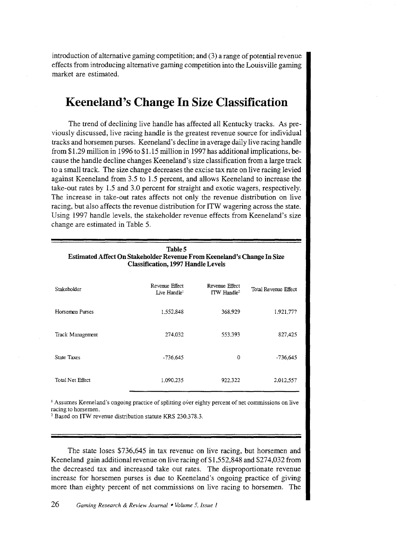introduction of alternative gaming competition; and (3) a range of potential revenue effects from introducing alternative gaming competition into the Louisville gaming market are estimated.

# **Keen eland's Change In Size Classification**

The trend of declining live handle has affected all Kentucky tracks. As previously discussed, live racing handle is the greatest revenue source for individual tracks and horsemen purses. Keeneland's decline in average daily live racing handle from \$1.29 million in 1996 to \$1.15 million in 1997 has additional implications, because the handle decline changes Keeneland 's size classification from a large track to a small track. The size change decreases the excise tax rate on live racing levied against Keeneland from 3.5 to 1.5 percent, and allows Keeneland to increase the take-out rates by 1.5 and 3.0 percent for straight and exotic wagers, respectively. The increase in take-out rates affects not only the revenue distribution on live racing, but also affects the revenue distribution for ITW wagering across the state. Using 1997 handle levels, the stakeholder revenue effects from Keeneland's size change are estimated in Table 5.

| Table 5<br>Estimated Affect On Stakeholder Revenue From Keeneland's Change In Size<br><b>Classification, 1997 Handle Levels</b> |                                            |                                           |                      |  |  |  |
|---------------------------------------------------------------------------------------------------------------------------------|--------------------------------------------|-------------------------------------------|----------------------|--|--|--|
| Stakeholder                                                                                                                     | Revenue Effect<br>Live Handle <sup>1</sup> | Revenue Effect<br>ITW Handle <sup>2</sup> | Total Revenue Effect |  |  |  |
| Horsemen Purses                                                                                                                 | 1,552,848                                  | 368,929                                   | 1,921,777            |  |  |  |
| Track Management                                                                                                                | 274,032                                    | 553,393                                   | 827,425              |  |  |  |
| <b>State Taxes</b>                                                                                                              | $-736.645$                                 | $\theta$                                  | $-736,645$           |  |  |  |
| Total Net Effect                                                                                                                | 1,090,235                                  | 922,322                                   | 2,012,557            |  |  |  |

<sup>1</sup> Assumes Keeneland's ongoing practice of splitting over eighty percent of net commissions on live racing to horsemen.

' Based on ITW revenue distribution statute KRS 230.378.3.

The state loses \$736,645 in tax revenue on live racing, but horsemen and Keen eland gain additional revenue on live racing of \$1,552,848 and \$274,032 from the decreased tax and increased take out rates. The disproportionate revenue increase for horsemen purses is due to Keeneland's ongoing practice of giving more than eighty percent of net commissions on live racing to horsemen. The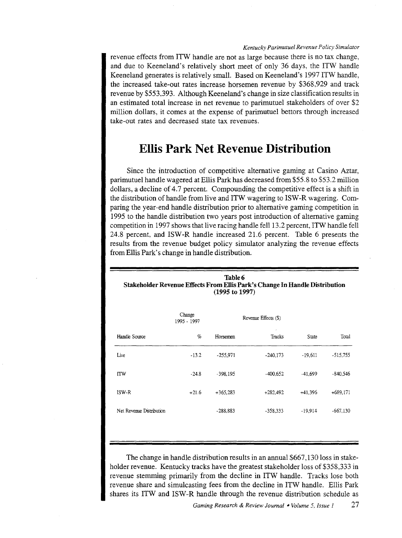#### *Kentucky Parimutuel Revenue Policy Simulator*

revenue effects from ITW handle are not as large because there is no tax change, and due to Keeneland's relatively short meet of only 36 days, the ITW handle Keeneland generates is relatively small. Based on Keeneland's 1997 ITW handle, the increased take-out rates increase horsemen revenue by \$368,929 and track revenue by \$553,393. Although Keeneland's change in size classification results in an estimated total increase in net revenue to parimutuel stakeholders of over \$2 million dollars, it comes at the expense of parimutuel bettors through increased take-out rates and decreased state tax revenues.

# **Ellis Park Net Revenue Distribution**

Since the introduction of competitive alternative gaming at Casino Aztar, parimutuel handle wagered at Ellis Park has decreased from \$55.8 to \$53.2 million dollars, a decline of 4.7 percent. Compounding the competitive effect is a shift in the distribution of handle from live and ITW wagering to ISW-R wagering. Comparing the year-end handle distribution prior to alternative gaming competition in 1995 to the handle distribution two years post introduction of alternative gaming competition in 1997 shows that live racing handle fell 13.2 percent, ITW handle fell 24.8 percent, and ISW-R handle increased 21.6 percent. Table 6 presents the results from the revenue budget policy simulator analyzing the revenue effects from Ellis Park's change in handle distribution.

| Table 6<br>Stakeholder Revenue Effects From Ellis Park's Change In Handle Distribution<br>$(1995 \text{ to } 1997)$ |                       |                      |            |           |            |  |  |  |
|---------------------------------------------------------------------------------------------------------------------|-----------------------|----------------------|------------|-----------|------------|--|--|--|
|                                                                                                                     | Change<br>1995 - 1997 | Revenue Effects (\$) |            |           |            |  |  |  |
| Handle Source                                                                                                       | %                     | Horsemen             | Tracks     | State     | Total      |  |  |  |
| Live                                                                                                                | $-13.2$               | $-255.971$           | $-240,173$ | $-19,611$ | $-515,755$ |  |  |  |
| <b>ITW</b>                                                                                                          | $-24.8$               | -398,195             | $-400,652$ | -41,699   | -840.546   |  |  |  |
| ISW-R                                                                                                               | $+21.6$               | $+365,283$           | $+282,492$ | $+41,396$ | $+689.171$ |  |  |  |
| Net Revenue Distribution                                                                                            |                       | $-288.883$           | $-358,333$ | $-19.914$ | $-667,130$ |  |  |  |
|                                                                                                                     |                       |                      |            |           |            |  |  |  |

The change in handle distribution results in an annual \$667,130 loss in stakeholder revenue. Kentucky tracks have the greatest stakeholder loss of \$358,333 in revenue stemming primarily from the decline in ITW handle. Tracks lose both revenue share and simulcasting fees from the decline in ITW handle. Ellis Park shares its ITW and ISW-R handle through the revenue distribution schedule as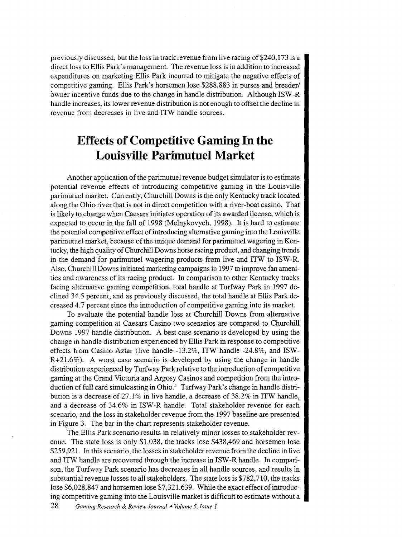previously discussed, but the loss in track revenue from live racing of \$240,173 is a direct loss to Ellis Park's management. The revenue loss is in addition to increased expenditures on marketing Ellis Park incurred to mitigate the negative effects of competitive gaming. Ellis Park's horsemen lose \$288,883 in purses and breeder/ owner incentive funds due to the change in handle distribution. Although ISW -R handle increases, its lower revenue distribution is not enough to offset the decline in revenue from decreases in live and ITW handle sources.

# **Effects of Competitive Gaming In the Louisville Parimutuel Market**

Another application of the parimutuel revenue budget simulator is to estimate potential revenue effects of introducing competitive gaming in the Louisville parimutuel market. Currently, Churchill Downs is the only Kentucky track located along the Ohio river that is not in direct competition with a river-boat casino. That is likely to change when Caesars initiates operation of its awarded license, which is expected to occur in the fall of 1998 (Melnykovych, 1998). It is hard to estimate the potential competitive effect of introducing alternative gaming into the Louisville parimutuel market, because of the unique demand for parimutuel wagering in Kentucky, the high quality of Churchill Downs horse racing product, and changing trends in the demand for parimutuel wagering products from live and ITW to ISW-R. Also, Churchill Downs initiated marketing campaigns in 1997 to improve fan amenities and awareness of its racing product. In comparison to other Kentucky tracks facing alternative gaming competition, total handle at Turfway Park in 1997 declined 34.5 percent, and as previously discussed, the total handle at Ellis Park decreased 4.7 percent since the introduction of competitive gaming into its market.

To evaluate the potential handle loss at Churchill Downs from alternative gaming competition at Caesars Casino two scenarios are compared to Churchill Downs 1997 handle distribution. A best case scenario is developed by using the change in handle distribution experienced by Ellis Park in response to competitive effects from Casino Aztar (live handle -13.2%, ITW handle -24.8%, and ISW-R+21.6%). A worst case scenario is developed by using the change in handle distribution experienced by Turfway Park relative to the introduction of competitive gaming at the Grand Victoria and Argosy Casinos and competition from the introduction of full card simulcasting in Ohio.<sup>5</sup> Turfway Park's change in handle distribution is a decrease of 27.1% in live handle, a decrease of 38.2% in ITW handle, and a decrease of 34.6% in ISW-R handle. Total stakeholder revenue for each scenario, and the loss in stakeholder revenue from the 1997 baseline are presented in Figure 3. The bar in the chart represents stakeholder revenue.

The Ellis Park scenario results in relatively minor losses to stakeholder revenue. The state loss is only \$1,038, the tracks lose \$438,469 and horsemen lose \$259,921. In this scenario, the losses in stakeholder revenue from the decline in live and ITW handle are recovered through the increase in ISW-R handle. In comparison, the Turfway Park scenario has decreases in all handle sources, and results in substantial revenue losses to all stakeholders. The state loss is \$782,710, the tracks lose \$6,028,847 and horsemen lose \$7,321,639. While the exact effect of introducing competitive gaming into the Louisville market is difficult to estimate without a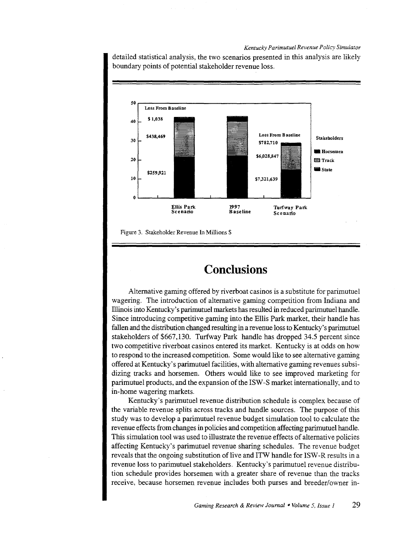#### *Kentucky Parimutuel Revenue Policy Simulator*

detailed statistical analysis, the two scenarios presented in this analysis are likely boundary points of potential stakeholder revenue loss.





# **Conclusions**

Alternative gaming offered by riverboat casinos is a substitute for parimutuel wagering. The introduction of alternative gaming competition from Indiana and Illinois into Kentucky's parimutuel markets has resulted in reduced parimutuel handle. Since introducing competitive gaming into the Ellis Park market, their handle has fallen and the distribution changed resulting in a revenue loss to Kentucky's parimutuel stakeholders of \$667,130. Turfway Park handle has dropped 34.5 percent since two competitive riverboat casinos entered its market. Kentucky is at odds on how to respond to the increased competition. Some would like to see alternative gaming offered at Kentucky's parimutuel facilities, with alternative gaming revenues subsidizing tracks and horsemen. Others would like to see improved marketing for parimutuel products, and the expansion of the ISW -S market internationally, and to in-home wagering markets.

Kentucky's parimutuel revenue distribution schedule is complex because of the variable revenue splits across tracks and handle sources. The purpose of this study was to develop a parimutuel revenue budget simulation tool to calculate the revenue effects from changes in policies and competition affecting parimutuel handle. This simulation tool was used to illustrate the revenue effects of alternative policies affecting Kentucky's parimutuel revenue sharing schedules. The revenue budget reveals that the ongoing substitution of live and ITW handle for ISW-R results in a revenue loss to parimutuel stakeholders. Kentucky's parimutuel revenue distribution schedule provides horsemen with a greater share of revenue than the tracks receive, because horsemen revenue includes both purses and breeder/owner in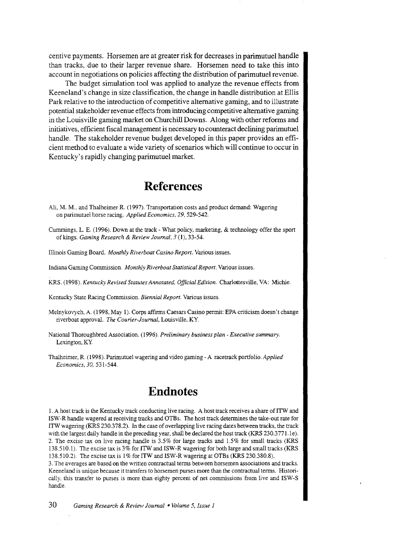centive payments. Horsemen are at greater risk for decreases in parimutuel handle than tracks, due to their larger revenue share. Horsemen need to take this into account in negotiations on policies affecting the distribution of parimutuel revenue.

The budget simulation tool was applied to analyze the revenue effects from Keeneland's change in size classification, the change in handle distribution at Ellis Park relative to the introduction of competitive alternative gaming, and to illustrate potential stakeholder revenue effects from introducing competitive alternative gaming in the Louisville gaming market on Churchill Downs. Along with other reforms and initiatives, efficient fiscal management is necessary to counteract declining parimutuel handle. The stakeholder revenue budget developed in this paper provides an efficient method to evaluate a wide variety of scenarios which will continue to occur in Kentucky's rapidly changing parimutuel market.

## **References**

- Ali, M. M., and Thalheimer R. (1997). Transportation costs and product demand: Wagering on parimutuel horse racing. *Applied Economics, 29,* 529-542.
- Cummings, L. E. (1996). Down at the track- What policy, marketing, & technology offer the sport of kings. *Gaming Research* & *Review Journal, 3* (1), 33-54.
- Illinois Gaming Board. *Monthly Riverboat Casino Report.* Various issues.
- Indiana Gaming Commission. *Monthly Riverboat Statistical Report.* Various issues.
- KRS. (I 998). *Kentucky Revised Statutes Annotated, Official Edition.* Charlottesville, VA: Michie.
- Kentucky State Racing Commission. *Biennial Report.* Various issues.
- Melnykovych, A. (1998, May 1). Corps affirms Caesars Casino permit: EPA criticism doesn't change riverboat approval. *The Courier-Journal,* Louisville, KY.
- National Thoroughbred Association. (1996). *Preliminary business plan- Executive summary.*  Lexington, KY
- Thalheimer, R. (1998). Parimutuel wagering and video gaming- A racetrack portfolio. *Applied Economics, 30,* 53 I -544.

# **Endnotes**

l. A host track is the Kentucky track conducting live racing. A host track receives a share of ITW and ISW-R handle wagered at receiving tracks and OTBs. The host track determines the take-out rate for ITW wagering (KRS 230.378.2). In the case of overlapping live racing dates between tracks, the track with the largest daily handle in the preceding year, shall be declared the host track (KRS 230.3771.1e). 2. The excise tax on live racing handle is 3.5% for large tracks and 1.5% for small tracks (KRS 138.510.1). The excise tax is 3% for ITW and ISW-R wagering for both large and small tracks (KRS 138.510.2) The excise tax is 1% for ITW and ISW-R wagering at OTBs (KRS 230.380.8).

3. The averages are based on the written contractual terms between horsemen associations and tracks. Keeneland is unique because it transfers to horsemen purses more than the contractual terms. Historically, this transfer to purses is more than eighty percent of net commissions from live and ISW-S handle.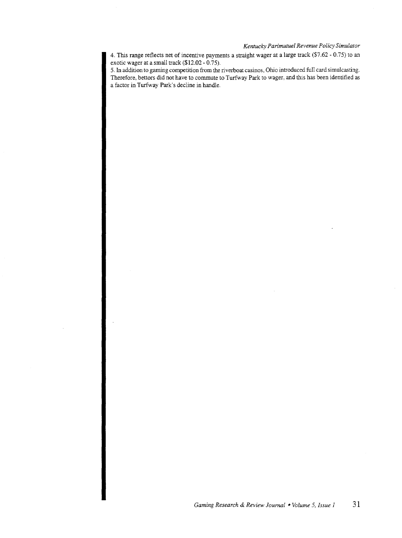#### *Kentucky Parimutuel Revenue Policy Simulator*

4. This range reflects net of incentive payments a straight wager at a large track (\$7.62- 0.75) to an exotic wager at a small track (\$12.02- 0.75).

5. In addition to gaming competition from the riverboat casinos, Ohio introduced full card simulcasting. Therefore, bettors did not have to commute to Turfway Park to wager, and this has been identified as a factor in Turfway Park's decline in handle.